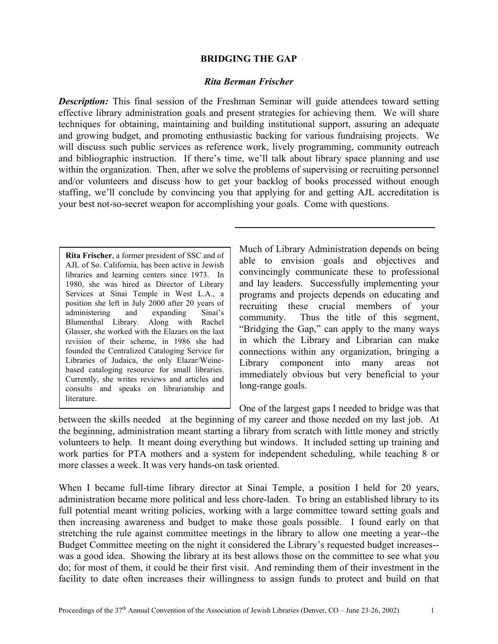#### **BRIDGING THE GAP**

#### *Rita Berman Frischer*

*Description:* This final session of the Freshman Seminar will guide attendees toward setting effective library administration goals and present strategies for achieving them. We will share techniques for obtaining, maintaining and building institutional support, assuring an adequate and growing budget, and promoting enthusiastic backing for various fundraising projects. We will discuss such public services as reference work, lively programming, community outreach and bibliographic instruction. If there's time, we'll talk about library space planning and use within the organization. Then, after we solve the problems of supervising or recruiting personnel and/or volunteers and discuss how to get your backlog of books processed without enough staffing, we'll conclude by convincing you that applying for and getting AJL accreditation is your best not-so-secret weapon for accomplishing your goals. Come with questions.

**Rita Frischer**, a former president of SSC and of AJL of So. California, has been active in Jewish libraries and learning centers since 1973. In 1980, she was hired as Director of Library Services at Sinai Temple in West L.A., a position she left in July 2000 after 20 years of administering and expanding Sinai's Blumenthal Library. Along with Rachel Glasser, she worked with the Elazars on the last revision of their scheme, in 1986 she had founded the Centralized Cataloging Service for Libraries of Judaica, the only Elazar/Weinebased cataloging resource for small libraries. Currently, she writes reviews and articles and consults and speaks on librarianship and literature.

Much of Library Administration depends on being able to envision goals and objectives and convincingly communicate these to professional and lay leaders. Successfully implementing your programs and projects depends on educating and recruiting these crucial members of your community. Thus the title of this segment, "Bridging the Gap," can apply to the many ways in which the Library and Librarian can make connections within any organization, bringing a Library component into many areas not immediately obvious but very beneficial to your long-range goals.

One of the largest gaps I needed to bridge was that between the skills needed at the beginning of my career and those needed on my last job. At the beginning, administration meant starting a library from scratch with little money and strictly volunteers to help. It meant doing everything but windows. It included setting up training and work parties for PTA mothers and a system for independent scheduling, while teaching 8 or more classes a week. It was very hands-on task oriented.

When I became full-time library director at Sinai Temple, a position I held for 20 years, administration became more political and less chore-laden. To bring an established library to its full potential meant writing policies, working with a large committee toward setting goals and then increasing awareness and budget to make those goals possible. I found early on that stretching the rule against committee meetings in the library to allow one meeting a year--the Budget Committee meeting on the night it considered the Library's requested budget increases- was a good idea. Showing the library at its best allows those on the committee to see what you do; for most of them, it could be their first visit. And reminding them of their investment in the facility to date often increases their willingness to assign funds to protect and build on that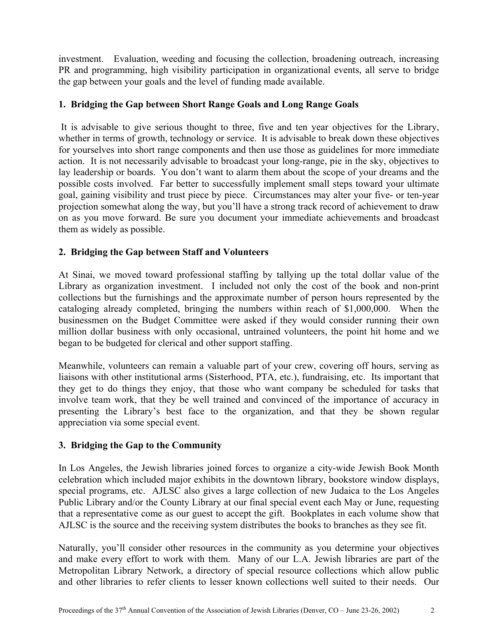investment. Evaluation, weeding and focusing the collection, broadening outreach, increasing PR and programming, high visibility participation in organizational events, all serve to bridge the gap between your goals and the level of funding made available.

# **1. Bridging the Gap between Short Range Goals and Long Range Goals**

It is advisable to give serious thought to three, five and ten year objectives for the Library, whether in terms of growth, technology or service. It is advisable to break down these objectives for yourselves into short range components and then use those as guidelines for more immediate action. It is not necessarily advisable to broadcast your long-range, pie in the sky, objectives to lay leadership or boards. You don't want to alarm them about the scope of your dreams and the possible costs involved. Far better to successfully implement small steps toward your ultimate goal, gaining visibility and trust piece by piece. Circumstances may alter your five- or ten-year projection somewhat along the way, but you'll have a strong track record of achievement to draw on as you move forward. Be sure you document your immediate achievements and broadcast them as widely as possible.

## **2. Bridging the Gap between Staff and Volunteers**

At Sinai, we moved toward professional staffing by tallying up the total dollar value of the Library as organization investment. I included not only the cost of the book and non-print collections but the furnishings and the approximate number of person hours represented by the cataloging already completed, bringing the numbers within reach of \$1,000,000. When the businessmen on the Budget Committee were asked if they would consider running their own million dollar business with only occasional, untrained volunteers, the point hit home and we began to be budgeted for clerical and other support staffing.

Meanwhile, volunteers can remain a valuable part of your crew, covering off hours, serving as liaisons with other institutional arms (Sisterhood, PTA, etc.), fundraising, etc. Its important that they get to do things they enjoy, that those who want company be scheduled for tasks that involve team work, that they be well trained and convinced of the importance of accuracy in presenting the Library's best face to the organization, and that they be shown regular appreciation via some special event.

## **3. Bridging the Gap to the Community**

In Los Angeles, the Jewish libraries joined forces to organize a city-wide Jewish Book Month celebration which included major exhibits in the downtown library, bookstore window displays, special programs, etc. AJLSC also gives a large collection of new Judaica to the Los Angeles Public Library and/or the County Library at our final special event each May or June, requesting that a representative come as our guest to accept the gift. Bookplates in each volume show that AJLSC is the source and the receiving system distributes the books to branches as they see fit.

Naturally, you'll consider other resources in the community as you determine your objectives and make every effort to work with them. Many of our L.A. Jewish libraries are part of the Metropolitan Library Network, a directory of special resource collections which allow public and other libraries to refer clients to lesser known collections well suited to their needs. Our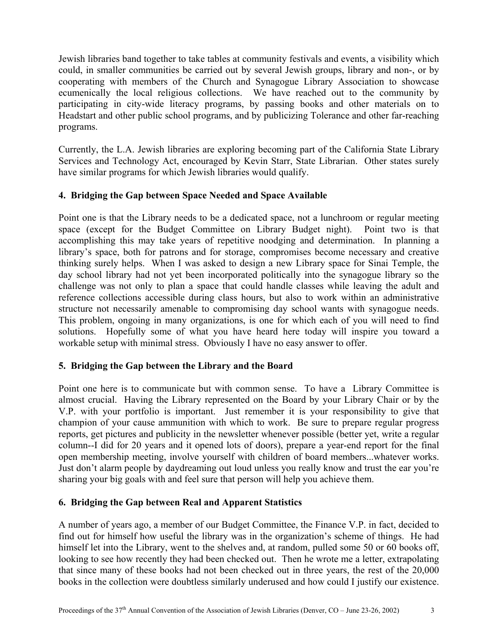Jewish libraries band together to take tables at community festivals and events, a visibility which could, in smaller communities be carried out by several Jewish groups, library and non-, or by cooperating with members of the Church and Synagogue Library Association to showcase ecumenically the local religious collections. We have reached out to the community by participating in city-wide literacy programs, by passing books and other materials on to Headstart and other public school programs, and by publicizing Tolerance and other far-reaching programs.

Currently, the L.A. Jewish libraries are exploring becoming part of the California State Library Services and Technology Act, encouraged by Kevin Starr, State Librarian. Other states surely have similar programs for which Jewish libraries would qualify.

## **4. Bridging the Gap between Space Needed and Space Available**

Point one is that the Library needs to be a dedicated space, not a lunchroom or regular meeting space (except for the Budget Committee on Library Budget night). Point two is that accomplishing this may take years of repetitive noodging and determination. In planning a library's space, both for patrons and for storage, compromises become necessary and creative thinking surely helps. When I was asked to design a new Library space for Sinai Temple, the day school library had not yet been incorporated politically into the synagogue library so the challenge was not only to plan a space that could handle classes while leaving the adult and reference collections accessible during class hours, but also to work within an administrative structure not necessarily amenable to compromising day school wants with synagogue needs. This problem, ongoing in many organizations, is one for which each of you will need to find solutions. Hopefully some of what you have heard here today will inspire you toward a workable setup with minimal stress. Obviously I have no easy answer to offer.

## **5. Bridging the Gap between the Library and the Board**

Point one here is to communicate but with common sense. To have a Library Committee is almost crucial. Having the Library represented on the Board by your Library Chair or by the V.P. with your portfolio is important. Just remember it is your responsibility to give that champion of your cause ammunition with which to work. Be sure to prepare regular progress reports, get pictures and publicity in the newsletter whenever possible (better yet, write a regular column--I did for 20 years and it opened lots of doors), prepare a year-end report for the final open membership meeting, involve yourself with children of board members...whatever works. Just don't alarm people by daydreaming out loud unless you really know and trust the ear you're sharing your big goals with and feel sure that person will help you achieve them.

## **6. Bridging the Gap between Real and Apparent Statistics**

A number of years ago, a member of our Budget Committee, the Finance V.P. in fact, decided to find out for himself how useful the library was in the organization's scheme of things. He had himself let into the Library, went to the shelves and, at random, pulled some 50 or 60 books off, looking to see how recently they had been checked out. Then he wrote me a letter, extrapolating that since many of these books had not been checked out in three years, the rest of the 20,000 books in the collection were doubtless similarly underused and how could I justify our existence.